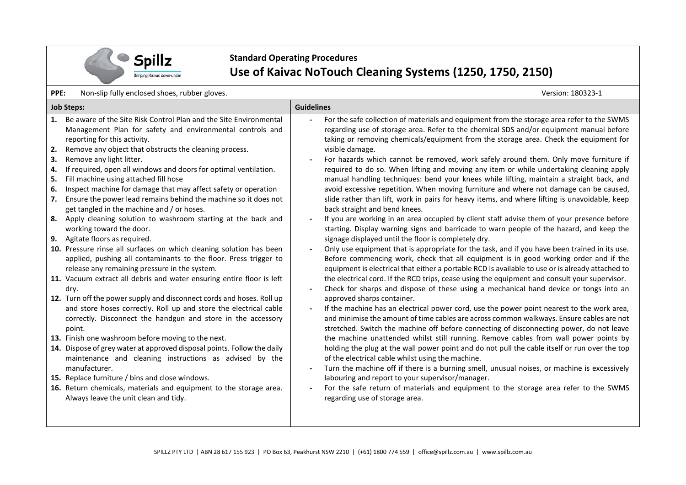

## **Standard Operating Procedures Use of Kaivac NoTouch Cleaning Systems (1250, 1750, 2150)**

**PPE:** Non-slip fully enclosed shoes, rubber gloves. Version: 180323-1

| <b>Job Steps:</b>          |                                                                                                                                                                                                                                                                                                                                                                                                                                                                                                                                                                                                                                                                                                                                                                                                                                                                                                                                                                                                             | <b>Guidelines</b>                                                                                                                                                                                                                                                                                                                                                                                                                                                                                                                                                                                                                                                                                                                                                                                                                                                                                                                                                                                                                                                                                                                                                                                                                                                                                                                                                                                                                                                                                                                                                                    |  |  |  |
|----------------------------|-------------------------------------------------------------------------------------------------------------------------------------------------------------------------------------------------------------------------------------------------------------------------------------------------------------------------------------------------------------------------------------------------------------------------------------------------------------------------------------------------------------------------------------------------------------------------------------------------------------------------------------------------------------------------------------------------------------------------------------------------------------------------------------------------------------------------------------------------------------------------------------------------------------------------------------------------------------------------------------------------------------|--------------------------------------------------------------------------------------------------------------------------------------------------------------------------------------------------------------------------------------------------------------------------------------------------------------------------------------------------------------------------------------------------------------------------------------------------------------------------------------------------------------------------------------------------------------------------------------------------------------------------------------------------------------------------------------------------------------------------------------------------------------------------------------------------------------------------------------------------------------------------------------------------------------------------------------------------------------------------------------------------------------------------------------------------------------------------------------------------------------------------------------------------------------------------------------------------------------------------------------------------------------------------------------------------------------------------------------------------------------------------------------------------------------------------------------------------------------------------------------------------------------------------------------------------------------------------------------|--|--|--|
| 2.<br>3.<br>4.<br>5.<br>6. | 1. Be aware of the Site Risk Control Plan and the Site Environmental<br>Management Plan for safety and environmental controls and<br>reporting for this activity.<br>Remove any object that obstructs the cleaning process.<br>Remove any light litter.<br>If required, open all windows and doors for optimal ventilation.<br>Fill machine using attached fill hose<br>Inspect machine for damage that may affect safety or operation                                                                                                                                                                                                                                                                                                                                                                                                                                                                                                                                                                      | For the safe collection of materials and equipment from the storage area refer to the SWMS<br>regarding use of storage area. Refer to the chemical SDS and/or equipment manual before<br>taking or removing chemicals/equipment from the storage area. Check the equipment for<br>visible damage.<br>For hazards which cannot be removed, work safely around them. Only move furniture if<br>required to do so. When lifting and moving any item or while undertaking cleaning apply<br>manual handling techniques: bend your knees while lifting, maintain a straight back, and<br>avoid excessive repetition. When moving furniture and where not damage can be caused,                                                                                                                                                                                                                                                                                                                                                                                                                                                                                                                                                                                                                                                                                                                                                                                                                                                                                                            |  |  |  |
| 7.                         | Ensure the power lead remains behind the machine so it does not<br>get tangled in the machine and / or hoses.                                                                                                                                                                                                                                                                                                                                                                                                                                                                                                                                                                                                                                                                                                                                                                                                                                                                                               | slide rather than lift, work in pairs for heavy items, and where lifting is unavoidable, keep<br>back straight and bend knees.                                                                                                                                                                                                                                                                                                                                                                                                                                                                                                                                                                                                                                                                                                                                                                                                                                                                                                                                                                                                                                                                                                                                                                                                                                                                                                                                                                                                                                                       |  |  |  |
| 8.<br>9.                   | Apply cleaning solution to washroom starting at the back and<br>working toward the door.<br>Agitate floors as required.<br>10. Pressure rinse all surfaces on which cleaning solution has been<br>applied, pushing all contaminants to the floor. Press trigger to<br>release any remaining pressure in the system.<br>11. Vacuum extract all debris and water ensuring entire floor is left<br>dry.<br>12. Turn off the power supply and disconnect cords and hoses. Roll up<br>and store hoses correctly. Roll up and store the electrical cable<br>correctly. Disconnect the handgun and store in the accessory<br>point.<br>13. Finish one washroom before moving to the next.<br>14. Dispose of grey water at approved disposal points. Follow the daily<br>maintenance and cleaning instructions as advised by the<br>manufacturer.<br>15. Replace furniture / bins and close windows.<br>16. Return chemicals, materials and equipment to the storage area.<br>Always leave the unit clean and tidy. | If you are working in an area occupied by client staff advise them of your presence before<br>starting. Display warning signs and barricade to warn people of the hazard, and keep the<br>signage displayed until the floor is completely dry.<br>Only use equipment that is appropriate for the task, and if you have been trained in its use.<br>Before commencing work, check that all equipment is in good working order and if the<br>equipment is electrical that either a portable RCD is available to use or is already attached to<br>the electrical cord. If the RCD trips, cease using the equipment and consult your supervisor.<br>Check for sharps and dispose of these using a mechanical hand device or tongs into an<br>approved sharps container.<br>If the machine has an electrical power cord, use the power point nearest to the work area,<br>and minimise the amount of time cables are across common walkways. Ensure cables are not<br>stretched. Switch the machine off before connecting of disconnecting power, do not leave<br>the machine unattended whilst still running. Remove cables from wall power points by<br>holding the plug at the wall power point and do not pull the cable itself or run over the top<br>of the electrical cable whilst using the machine.<br>Turn the machine off if there is a burning smell, unusual noises, or machine is excessively<br>labouring and report to your supervisor/manager.<br>For the safe return of materials and equipment to the storage area refer to the SWMS<br>regarding use of storage area. |  |  |  |
|                            |                                                                                                                                                                                                                                                                                                                                                                                                                                                                                                                                                                                                                                                                                                                                                                                                                                                                                                                                                                                                             |                                                                                                                                                                                                                                                                                                                                                                                                                                                                                                                                                                                                                                                                                                                                                                                                                                                                                                                                                                                                                                                                                                                                                                                                                                                                                                                                                                                                                                                                                                                                                                                      |  |  |  |